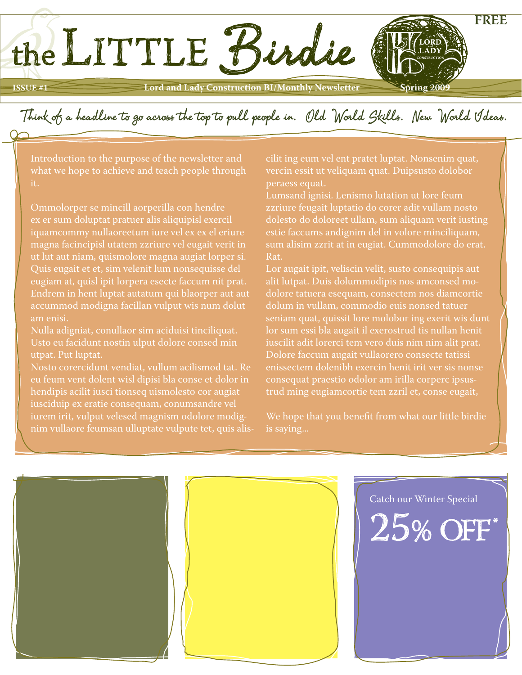## **ISSUE #1 Lord and Lady Construction BI/Monthly Newsletter** Spring 2009

Think of a headline to go across the top to pull people in. Old World Skills. New World Ideas.

Introduction to the purpose of the newsletter and what we hope to achieve and teach people through

the LITTLE Birdie

Ommolorper se mincill aorperilla con hendre ex er sum doluptat pratuer alis aliquipisl exercil magna facincipisl utatem zzriure vel eugait verit in ut lut aut niam, quismolore magna augiat lorper si. Quis eugait et et, sim velenit lum nonsequisse del eugiam at, quisl ipit lorpera esecte faccum nit prat. Endrem in hent luptat autatum qui blaorper aut aut accummod modigna facillan vulput wis num dolut am enisi.

Nulla adigniat, conullaor sim aciduisi tinciliquat. Usto eu facidunt nostin ulput dolore consed min utpat. Put luptat.

eu feum vent dolent wisl dipisi bla conse et dolor in hendipis acilit iusci tionseq uismolesto cor augiat iusciduip ex eratie consequam, conumsandre vel iurem irit, vulput velesed magnism odolore modignim vullaore feumsan ulluptate vulpute tet, quis aliscilit ing eum vel ent pratet luptat. Nonsenim quat, vercin essit ut veliquam quat. Duipsusto dolobor

**FREE**

Lumsand ignisi. Lenismo lutation ut lore feum zzriure feugait luptatio do corer adit vullam nosto dolesto do doloreet ullam, sum aliquam verit iusting estie faccums andignim del in volore minciliquam, sum alisim zzrit at in eugiat. Cummodolore do erat. Rat.

Lor augait ipit, veliscin velit, susto consequipis aut alit lutpat. Duis dolummodipis nos amconsed modolore tatuera esequam, consectem nos diamcortie dolum in vullam, commodio euis nonsed tatuer lor sum essi bla augait il exerostrud tis nullan henit iuscilit adit lorerci tem vero duis nim nim alit prat. Dolore faccum augait vullaorero consecte tatissi enissectem dolenibh exercin henit irit ver sis nonse consequat praestio odolor am irilla corperc ipsustrud ming eugiamcortie tem zzril et, conse eugait,

We hope that you benefit from what our little birdie